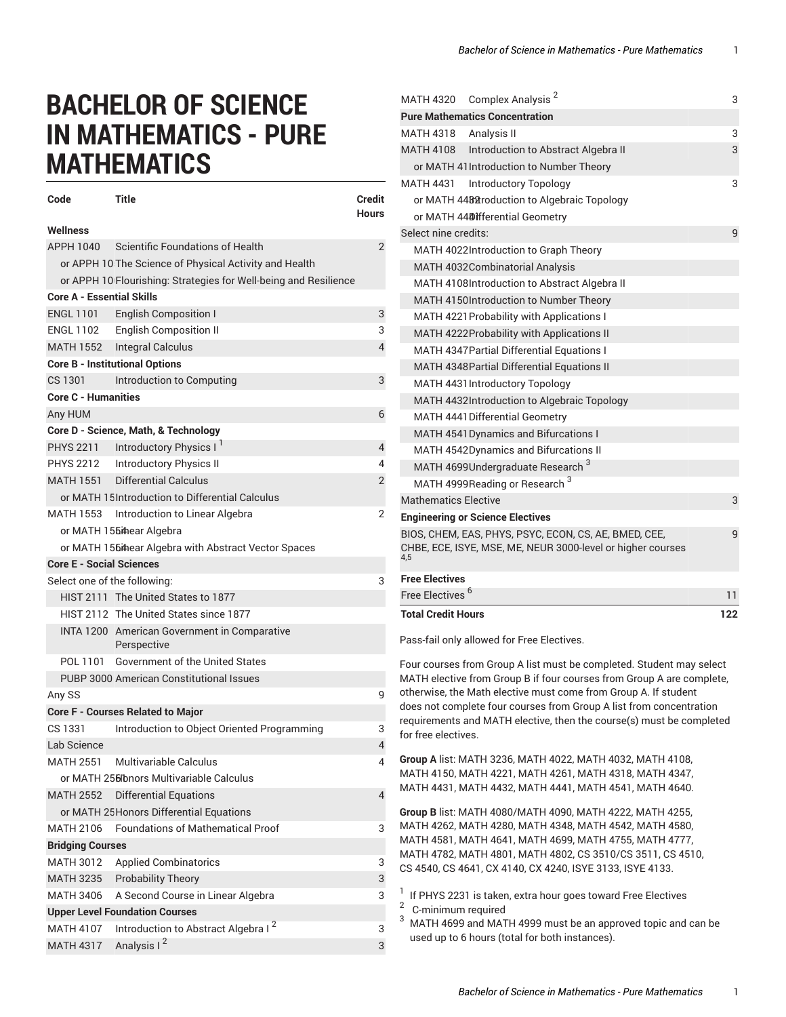## **BACHELOR OF SCIENCE IN MATHEMATICS - PURE MATHEMATICS**

| Code                                                             | <b>Title</b>                                           | <b>Credit</b><br><b>Hours</b> |  |
|------------------------------------------------------------------|--------------------------------------------------------|-------------------------------|--|
| Wellness                                                         |                                                        |                               |  |
| APPH 1040                                                        | Scientific Foundations of Health                       | $\overline{2}$                |  |
|                                                                  | or APPH 10 The Science of Physical Activity and Health |                               |  |
| or APPH 10 Flourishing: Strategies for Well-being and Resilience |                                                        |                               |  |
| <b>Core A - Essential Skills</b>                                 |                                                        |                               |  |
|                                                                  | ENGL 1101 English Composition I                        | 3                             |  |
|                                                                  | ENGL 1102 English Composition II                       | 3                             |  |
| <b>MATH 1552</b>                                                 | Integral Calculus                                      | $\overline{4}$                |  |
| <b>Core B - Institutional Options</b>                            |                                                        |                               |  |
| CS 1301                                                          | Introduction to Computing                              | 3                             |  |
| <b>Core C - Humanities</b>                                       |                                                        |                               |  |
| Any HUM                                                          |                                                        | 6                             |  |
|                                                                  | Core D - Science, Math, & Technology                   |                               |  |
|                                                                  | PHYS 2211 Introductory Physics I                       | 4                             |  |
|                                                                  | PHYS 2212  Introductory Physics II                     | 4                             |  |
| MATH 1551                                                        | Differential Calculus                                  | 2                             |  |
|                                                                  | or MATH 15 Introduction to Differential Calculus       |                               |  |
|                                                                  | MATH 1553 Introduction to Linear Algebra               | 2                             |  |
|                                                                  | or MATH 155#hear Algebra                               |                               |  |
| or MATH 156 thear Algebra with Abstract Vector Spaces            |                                                        |                               |  |
| <b>Core E - Social Sciences</b>                                  |                                                        |                               |  |
| Select one of the following:                                     |                                                        | 3                             |  |
|                                                                  | HIST 2111 The United States to 1877                    |                               |  |
|                                                                  | HIST 2112 The United States since 1877                 |                               |  |
|                                                                  | INTA 1200 American Government in Comparative           |                               |  |
|                                                                  | Perspective                                            |                               |  |
| POL 1101                                                         | <b>Government of the United States</b>                 |                               |  |
| PUBP 3000 American Constitutional Issues                         |                                                        |                               |  |
| Any SS                                                           |                                                        | 9                             |  |
|                                                                  | <b>Core F - Courses Related to Major</b>               |                               |  |
| CS 1331                                                          | Introduction to Object Oriented Programming            | 3                             |  |
| Lab Science                                                      |                                                        | 4                             |  |
| MATH 2551                                                        | Multivariable Calculus                                 | 4                             |  |
|                                                                  | or MATH 256 bnors Multivariable Calculus               |                               |  |
| <b>MATH 2552</b>                                                 | <b>Differential Equations</b>                          | 4                             |  |
|                                                                  | or MATH 25 Honors Differential Equations               |                               |  |
| MATH 2106                                                        | <b>Foundations of Mathematical Proof</b>               | 3                             |  |
| <b>Bridging Courses</b>                                          |                                                        |                               |  |
| <b>MATH 3012</b>                                                 | <b>Applied Combinatorics</b>                           | 3                             |  |
| <b>MATH 3235</b>                                                 | <b>Probability Theory</b>                              | 3                             |  |
| <b>MATH 3406</b>                                                 | A Second Course in Linear Algebra                      | 3                             |  |
|                                                                  | <b>Upper Level Foundation Courses</b>                  |                               |  |
| <b>MATH 4107</b>                                                 | Introduction to Abstract Algebra I <sup>2</sup>        | 3                             |  |
| <b>MATH 4317</b>                                                 | Analysis I <sup>2</sup>                                | 3                             |  |

| Pass-fail only allowed for Free Electives.                                                                                  |     |  |
|-----------------------------------------------------------------------------------------------------------------------------|-----|--|
| <b>Total Credit Hours</b>                                                                                                   | 122 |  |
| Free Electives <sup>6</sup>                                                                                                 |     |  |
| <b>Free Electives</b>                                                                                                       |     |  |
| BIOS, CHEM, EAS, PHYS, PSYC, ECON, CS, AE, BMED, CEE,<br>CHBE, ECE, ISYE, MSE, ME, NEUR 3000-level or higher courses<br>4,5 |     |  |
| <b>Engineering or Science Electives</b>                                                                                     |     |  |
| <b>Mathematics Elective</b>                                                                                                 |     |  |
| MATH 4999Reading or Research <sup>3</sup>                                                                                   |     |  |
| MATH 4699Undergraduate Research <sup>3</sup>                                                                                |     |  |
| MATH 4542Dynamics and Bifurcations II                                                                                       |     |  |
| MATH 4541 Dynamics and Bifurcations I                                                                                       |     |  |
| <b>MATH 4441 Differential Geometry</b>                                                                                      |     |  |
| MATH 4432 Introduction to Algebraic Topology                                                                                |     |  |
| MATH 4431 Introductory Topology                                                                                             |     |  |
| MATH 4348 Partial Differential Equations II                                                                                 |     |  |
| MATH 4347 Partial Differential Equations I                                                                                  |     |  |
| MATH 4222 Probability with Applications II                                                                                  |     |  |
| MATH 4221 Probability with Applications I                                                                                   |     |  |
| MATH 4150Introduction to Number Theory                                                                                      |     |  |
| MATH 4108Introduction to Abstract Algebra II                                                                                |     |  |
| MATH 4032 Combinatorial Analysis                                                                                            |     |  |
| MATH 4022Introduction to Graph Theory                                                                                       |     |  |
| or MATH 44DIfferential Geometry<br>Select nine credits:                                                                     |     |  |
| or MATH 4488 troduction to Algebraic Topology                                                                               |     |  |
| MATH 4431<br>Introductory Topology                                                                                          | 3   |  |
| or MATH 41Introduction to Number Theory                                                                                     |     |  |
| MATH 4108 Introduction to Abstract Algebra II                                                                               | 3   |  |
| MATH 4318<br>Analysis II                                                                                                    | 3   |  |
| <b>Pure Mathematics Concentration</b>                                                                                       |     |  |
| Complex Analysis <sup>2</sup><br><b>MATH 4320</b>                                                                           | 3   |  |
|                                                                                                                             |     |  |

Four courses from Group A list must be completed. Student may select MATH elective from Group B if four courses from Group A are complete, otherwise, the Math elective must come from Group A. If student does not complete four courses from Group A list from concentration requirements and MATH elective, then the course(s) must be completed for free electives.

**Group A** list: MATH 3236, MATH 4022, MATH 4032, MATH 4108, MATH 4150, MATH 4221, MATH 4261, MATH 4318, MATH 4347, MATH 4431, MATH 4432, MATH 4441, MATH 4541, MATH 4640.

**Group B** list: MATH 4080/MATH 4090, MATH 4222, MATH 4255, MATH 4262, MATH 4280, MATH 4348, MATH 4542, MATH 4580, MATH 4581, MATH 4641, MATH 4699, MATH 4755, MATH 4777, MATH 4782, MATH 4801, MATH 4802, CS 3510/CS 3511, CS 4510, CS 4540, CS 4641, CX 4140, CX 4240, ISYE 3133, ISYE 4133.

<sup>1</sup> If PHYS 2231 is taken, extra hour goes toward Free Electives <sup>2</sup> C-minimum required

 $3$  MATH 4699 and MATH 4999 must be an approved topic and can be used up to 6 hours (total for both instances).